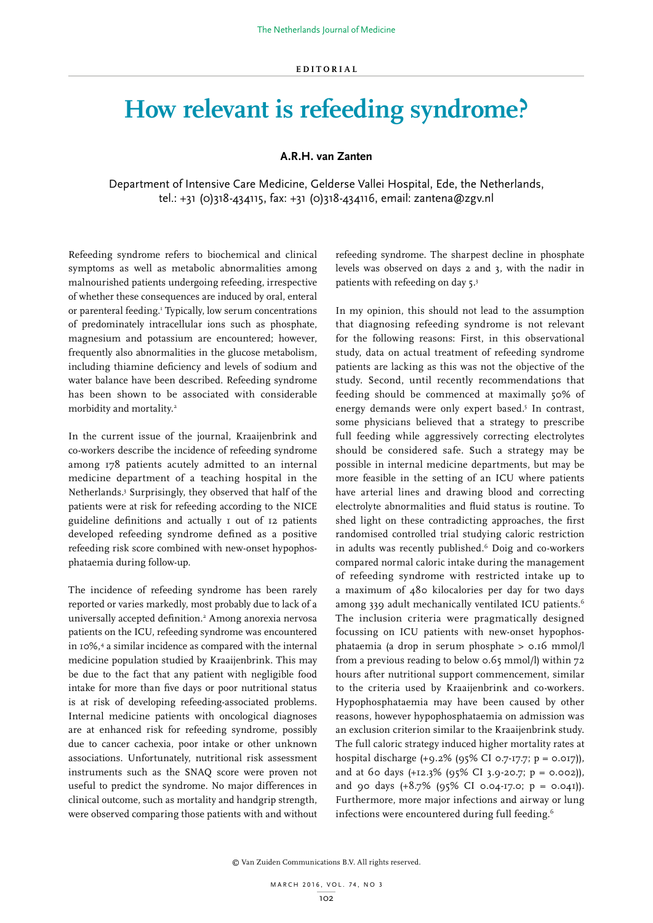## **How relevant is refeeding syndrome?**

## **A.R.H. van Zanten**

Department of Intensive Care Medicine, Gelderse Vallei Hospital, Ede, the Netherlands, tel.: +31 (0)318-434115, fax: +31 (0)318-434116, email: zantena@zgv.nl

Refeeding syndrome refers to biochemical and clinical symptoms as well as metabolic abnormalities among malnourished patients undergoing refeeding, irrespective of whether these consequences are induced by oral, enteral or parenteral feeding.<sup>1</sup> Typically, low serum concentrations of predominately intracellular ions such as phosphate, magnesium and potassium are encountered; however, frequently also abnormalities in the glucose metabolism, including thiamine deficiency and levels of sodium and water balance have been described. Refeeding syndrome has been shown to be associated with considerable morbidity and mortality.2

In the current issue of the journal, Kraaijenbrink and co-workers describe the incidence of refeeding syndrome among 178 patients acutely admitted to an internal medicine department of a teaching hospital in the Netherlands.3 Surprisingly, they observed that half of the patients were at risk for refeeding according to the NICE guideline definitions and actually 1 out of 12 patients developed refeeding syndrome defined as a positive refeeding risk score combined with new-onset hypophosphataemia during follow-up.

The incidence of refeeding syndrome has been rarely reported or varies markedly, most probably due to lack of a universally accepted definition.2 Among anorexia nervosa patients on the ICU, refeeding syndrome was encountered in 10%,4 a similar incidence as compared with the internal medicine population studied by Kraaijenbrink. This may be due to the fact that any patient with negligible food intake for more than five days or poor nutritional status is at risk of developing refeeding-associated problems. Internal medicine patients with oncological diagnoses are at enhanced risk for refeeding syndrome, possibly due to cancer cachexia, poor intake or other unknown associations. Unfortunately, nutritional risk assessment instruments such as the SNAQ score were proven not useful to predict the syndrome. No major differences in clinical outcome, such as mortality and handgrip strength, were observed comparing those patients with and without refeeding syndrome. The sharpest decline in phosphate levels was observed on days 2 and 3, with the nadir in patients with refeeding on day 5.3

In my opinion, this should not lead to the assumption that diagnosing refeeding syndrome is not relevant for the following reasons: First, in this observational study, data on actual treatment of refeeding syndrome patients are lacking as this was not the objective of the study. Second, until recently recommendations that feeding should be commenced at maximally 50% of energy demands were only expert based.<sup>5</sup> In contrast, some physicians believed that a strategy to prescribe full feeding while aggressively correcting electrolytes should be considered safe. Such a strategy may be possible in internal medicine departments, but may be more feasible in the setting of an ICU where patients have arterial lines and drawing blood and correcting electrolyte abnormalities and fluid status is routine. To shed light on these contradicting approaches, the first randomised controlled trial studying caloric restriction in adults was recently published.<sup>6</sup> Doig and co-workers compared normal caloric intake during the management of refeeding syndrome with restricted intake up to a maximum of 480 kilocalories per day for two days among 339 adult mechanically ventilated ICU patients.<sup>6</sup> The inclusion criteria were pragmatically designed focussing on ICU patients with new-onset hypophosphataemia (a drop in serum phosphate > 0.16 mmol/l from a previous reading to below 0.65 mmol/l) within 72 hours after nutritional support commencement, similar to the criteria used by Kraaijenbrink and co-workers. Hypophosphataemia may have been caused by other reasons, however hypophosphataemia on admission was an exclusion criterion similar to the Kraaijenbrink study. The full caloric strategy induced higher mortality rates at hospital discharge (+9.2% (95% CI 0.7-17.7; p = 0.017)), and at 60 days  $(+12.3\%$  (95% CI 3.9-20.7; p = 0.002)), and 90 days  $(+8.7\%$  (95% CI 0.04-17.0;  $p = 0.041$ ). Furthermore, more major infections and airway or lung infections were encountered during full feeding.<sup>6</sup>